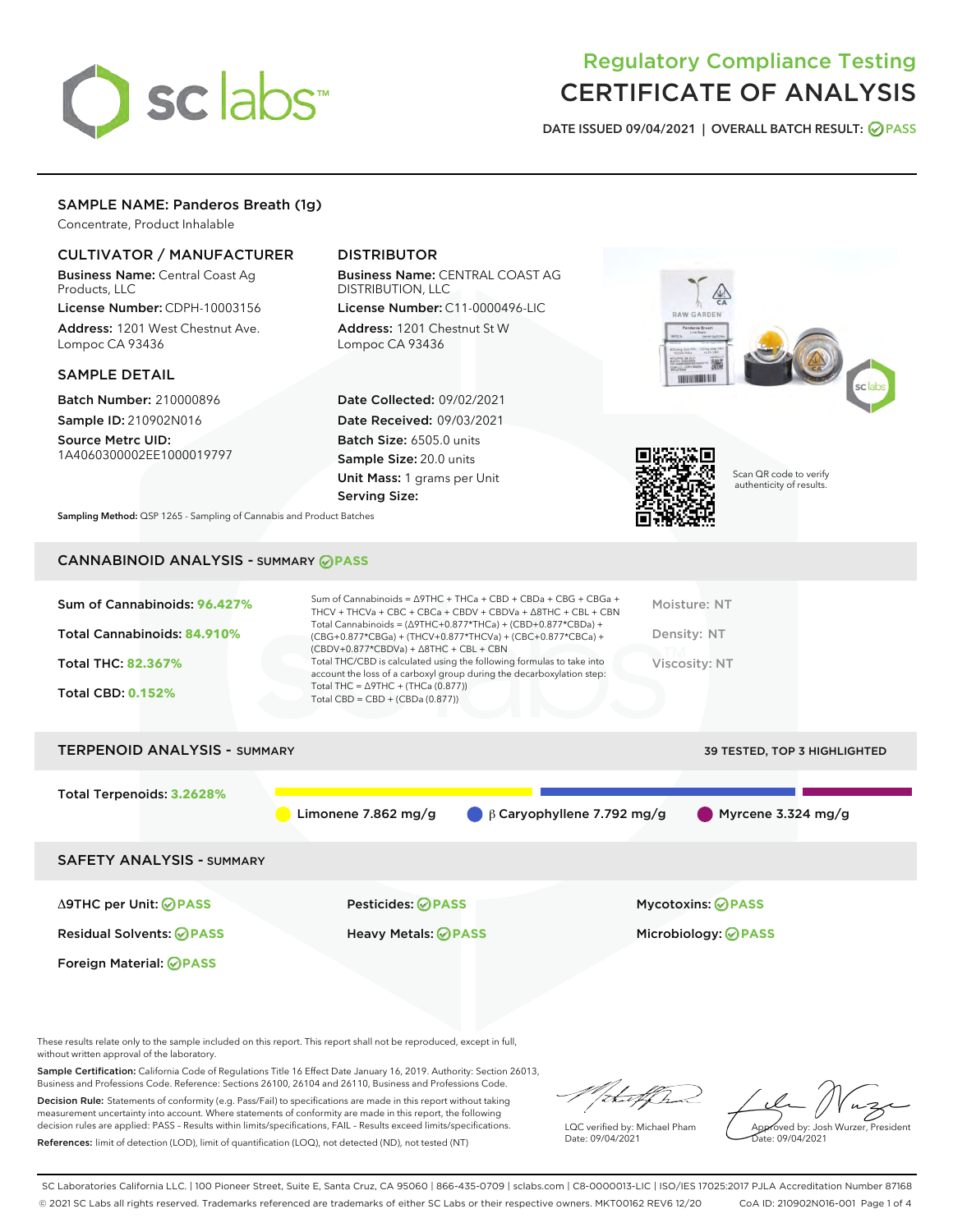# sclabs<sup>\*</sup>

## Regulatory Compliance Testing CERTIFICATE OF ANALYSIS

DATE ISSUED 09/04/2021 | OVERALL BATCH RESULT: @ PASS

#### SAMPLE NAME: Panderos Breath (1g)

Concentrate, Product Inhalable

#### CULTIVATOR / MANUFACTURER

Business Name: Central Coast Ag Products, LLC License Number: CDPH-10003156

Address: 1201 West Chestnut Ave. Lompoc CA 93436

#### SAMPLE DETAIL

Batch Number: 210000896 Sample ID: 210902N016

Source Metrc UID: 1A4060300002EE1000019797

#### DISTRIBUTOR

Business Name: CENTRAL COAST AG DISTRIBUTION, LLC License Number: C11-0000496-LIC

Address: 1201 Chestnut St W Lompoc CA 93436

Date Collected: 09/02/2021 Date Received: 09/03/2021 Batch Size: 6505.0 units Sample Size: 20.0 units Unit Mass: 1 grams per Unit Serving Size:





Scan QR code to verify authenticity of results.

Sampling Method: QSP 1265 - Sampling of Cannabis and Product Batches

### CANNABINOID ANALYSIS - SUMMARY **PASS**

| Sum of Cannabinoids: 96.427%<br>Total Cannabinoids: 84.910%<br>Total THC: 82.367%<br><b>Total CBD: 0.152%</b> | Sum of Cannabinoids = $\triangle$ 9THC + THCa + CBD + CBDa + CBG + CBGa +<br>THCV + THCVa + CBC + CBCa + CBDV + CBDVa + $\Delta$ 8THC + CBL + CBN<br>Total Cannabinoids = $(\Delta$ 9THC+0.877*THCa) + (CBD+0.877*CBDa) +<br>(CBG+0.877*CBGa) + (THCV+0.877*THCVa) + (CBC+0.877*CBCa) +<br>$(CBDV+0.877*CBDVa) + \Delta 8THC + CBL + CBN$<br>Total THC/CBD is calculated using the following formulas to take into<br>account the loss of a carboxyl group during the decarboxylation step:<br>Total THC = $\triangle$ 9THC + (THCa (0.877))<br>Total CBD = $CBD + (CBDa (0.877))$ | Moisture: NT<br>Density: NT<br>Viscosity: NT |
|---------------------------------------------------------------------------------------------------------------|------------------------------------------------------------------------------------------------------------------------------------------------------------------------------------------------------------------------------------------------------------------------------------------------------------------------------------------------------------------------------------------------------------------------------------------------------------------------------------------------------------------------------------------------------------------------------------|----------------------------------------------|
| <b>TERPENOID ANALYSIS - SUMMARY</b>                                                                           |                                                                                                                                                                                                                                                                                                                                                                                                                                                                                                                                                                                    | <b>39 TESTED, TOP 3 HIGHLIGHTED</b>          |
| Total Terpenoids: 3.2628%                                                                                     | $\beta$ 6 Caryophyllene 7.792 mg/g<br>Limonene 7.862 mg/g                                                                                                                                                                                                                                                                                                                                                                                                                                                                                                                          | Myrcene $3.324$ mg/g                         |
| <b>SAFETY ANALYSIS - SUMMARY</b>                                                                              |                                                                                                                                                                                                                                                                                                                                                                                                                                                                                                                                                                                    |                                              |
| ∆9THC per Unit: ⊘PASS                                                                                         | Pesticides: ⊘PASS                                                                                                                                                                                                                                                                                                                                                                                                                                                                                                                                                                  | <b>Mycotoxins: ⊘PASS</b>                     |

Residual Solvents: **PASS** Heavy Metals: **PASS** Microbiology: **PASS** Foreign Material: **PASS**

These results relate only to the sample included on this report. This report shall not be reproduced, except in full, without written approval of the laboratory.

Sample Certification: California Code of Regulations Title 16 Effect Date January 16, 2019. Authority: Section 26013, Business and Professions Code. Reference: Sections 26100, 26104 and 26110, Business and Professions Code.

Decision Rule: Statements of conformity (e.g. Pass/Fail) to specifications are made in this report without taking measurement uncertainty into account. Where statements of conformity are made in this report, the following decision rules are applied: PASS – Results within limits/specifications, FAIL – Results exceed limits/specifications. References: limit of detection (LOD), limit of quantification (LOQ), not detected (ND), not tested (NT)

d alf h

LQC verified by: Michael Pham Date: 09/04/2021

Approved by: Josh Wurzer, President Date: 09/04/2021

SC Laboratories California LLC. | 100 Pioneer Street, Suite E, Santa Cruz, CA 95060 | 866-435-0709 | sclabs.com | C8-0000013-LIC | ISO/IES 17025:2017 PJLA Accreditation Number 87168 © 2021 SC Labs all rights reserved. Trademarks referenced are trademarks of either SC Labs or their respective owners. MKT00162 REV6 12/20 CoA ID: 210902N016-001 Page 1 of 4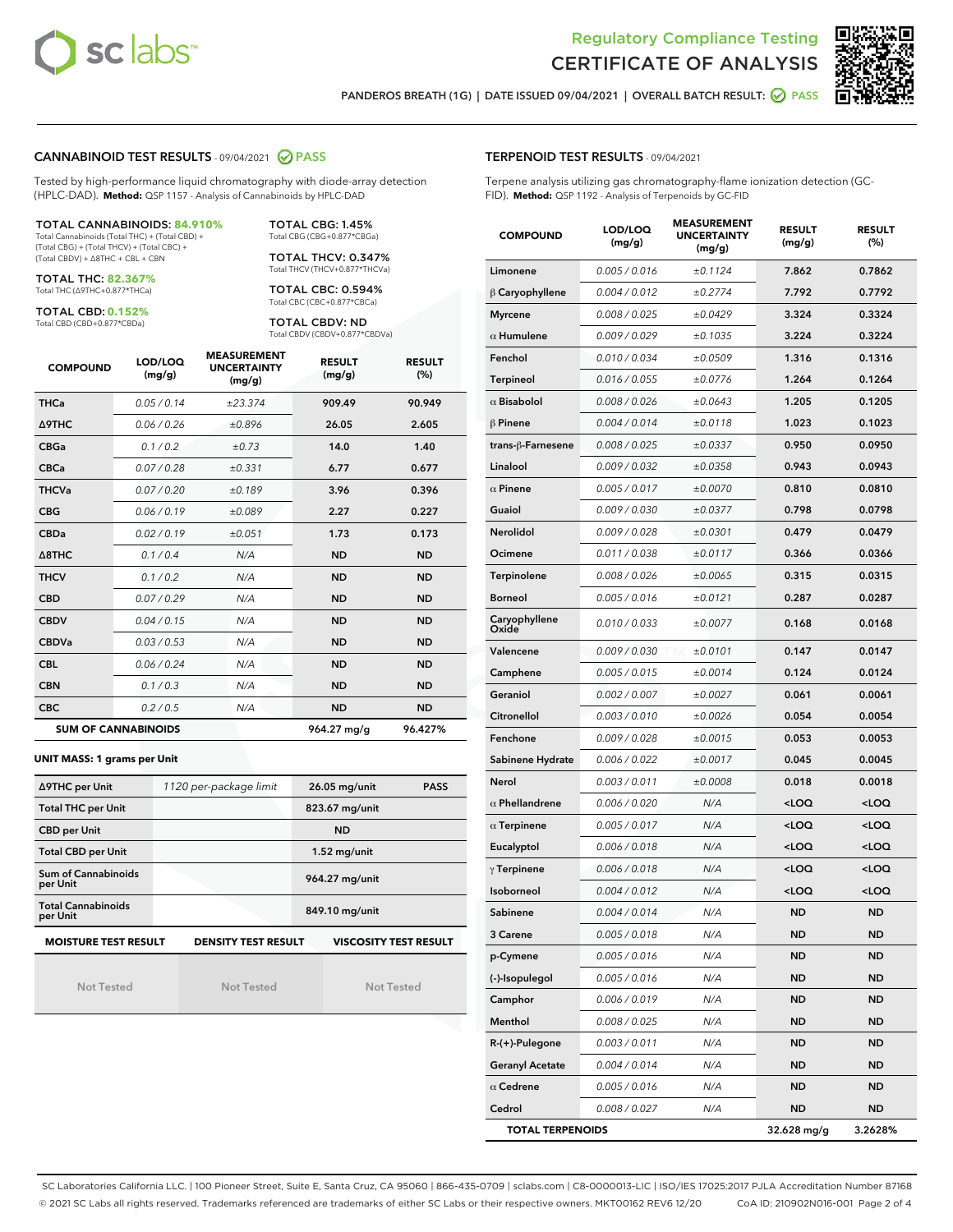



PANDEROS BREATH (1G) | DATE ISSUED 09/04/2021 | OVERALL BATCH RESULT: @ PASS

#### CANNABINOID TEST RESULTS - 09/04/2021 2 PASS

Tested by high-performance liquid chromatography with diode-array detection (HPLC-DAD). **Method:** QSP 1157 - Analysis of Cannabinoids by HPLC-DAD

#### TOTAL CANNABINOIDS: **84.910%**

Total Cannabinoids (Total THC) + (Total CBD) + (Total CBG) + (Total THCV) + (Total CBC) + (Total CBDV) + ∆8THC + CBL + CBN

TOTAL THC: **82.367%** Total THC (∆9THC+0.877\*THCa)

TOTAL CBD: **0.152%**

Total CBD (CBD+0.877\*CBDa)

TOTAL CBG: 1.45% Total CBG (CBG+0.877\*CBGa)

TOTAL THCV: 0.347% Total THCV (THCV+0.877\*THCVa)

TOTAL CBC: 0.594% Total CBC (CBC+0.877\*CBCa)

TOTAL CBDV: ND Total CBDV (CBDV+0.877\*CBDVa)

| <b>COMPOUND</b>  | LOD/LOQ<br>(mg/g)          | <b>MEASUREMENT</b><br><b>UNCERTAINTY</b><br>(mg/g) | <b>RESULT</b><br>(mg/g) | <b>RESULT</b><br>(%) |
|------------------|----------------------------|----------------------------------------------------|-------------------------|----------------------|
| <b>THCa</b>      | 0.05/0.14                  | ±23.374                                            | 909.49                  | 90.949               |
| <b>A9THC</b>     | 0.06 / 0.26                | ±0.896                                             | 26.05                   | 2.605                |
| <b>CBGa</b>      | 0.1/0.2                    | ±0.73                                              | 14.0                    | 1.40                 |
| <b>CBCa</b>      | 0.07/0.28                  | ±0.331                                             | 6.77                    | 0.677                |
| <b>THCVa</b>     | 0.07/0.20                  | ±0.189                                             | 3.96                    | 0.396                |
| <b>CBG</b>       | 0.06/0.19                  | ±0.089                                             | 2.27                    | 0.227                |
| <b>CBDa</b>      | 0.02/0.19                  | ±0.051                                             | 1.73                    | 0.173                |
| $\triangle$ 8THC | 0.1/0.4                    | N/A                                                | <b>ND</b>               | <b>ND</b>            |
| <b>THCV</b>      | 0.1/0.2                    | N/A                                                | <b>ND</b>               | <b>ND</b>            |
| <b>CBD</b>       | 0.07/0.29                  | N/A                                                | <b>ND</b>               | <b>ND</b>            |
| <b>CBDV</b>      | 0.04 / 0.15                | N/A                                                | <b>ND</b>               | <b>ND</b>            |
| <b>CBDVa</b>     | 0.03/0.53                  | N/A                                                | <b>ND</b>               | <b>ND</b>            |
| <b>CBL</b>       | 0.06 / 0.24                | N/A                                                | <b>ND</b>               | <b>ND</b>            |
| <b>CBN</b>       | 0.1/0.3                    | N/A                                                | <b>ND</b>               | <b>ND</b>            |
| <b>CBC</b>       | 0.2 / 0.5                  | N/A                                                | <b>ND</b>               | <b>ND</b>            |
|                  | <b>SUM OF CANNABINOIDS</b> |                                                    | 964.27 mg/g             | 96.427%              |

#### **UNIT MASS: 1 grams per Unit**

| ∆9THC per Unit                        | 1120 per-package limit     | 26.05 mg/unit<br><b>PASS</b> |
|---------------------------------------|----------------------------|------------------------------|
| <b>Total THC per Unit</b>             |                            | 823.67 mg/unit               |
| <b>CBD per Unit</b>                   |                            | <b>ND</b>                    |
| <b>Total CBD per Unit</b>             |                            | $1.52$ mg/unit               |
| Sum of Cannabinoids<br>per Unit       |                            | 964.27 mg/unit               |
| <b>Total Cannabinoids</b><br>per Unit |                            | 849.10 mg/unit               |
| <b>MOISTURE TEST RESULT</b>           | <b>DENSITY TEST RESULT</b> | <b>VISCOSITY TEST RESULT</b> |

Not Tested

Not Tested

Not Tested

#### TERPENOID TEST RESULTS - 09/04/2021

Terpene analysis utilizing gas chromatography-flame ionization detection (GC-FID). **Method:** QSP 1192 - Analysis of Terpenoids by GC-FID

| <b>COMPOUND</b>         | LOD/LOQ<br>(mg/g) | <b>MEASUREMENT</b><br><b>UNCERTAINTY</b><br>(mg/g) | <b>RESULT</b><br>(mg/g)                         | <b>RESULT</b><br>$(\%)$ |
|-------------------------|-------------------|----------------------------------------------------|-------------------------------------------------|-------------------------|
| Limonene                | 0.005 / 0.016     | ±0.1124                                            | 7.862                                           | 0.7862                  |
| $\beta$ Caryophyllene   | 0.004 / 0.012     | ±0.2774                                            | 7.792                                           | 0.7792                  |
| <b>Myrcene</b>          | 0.008 / 0.025     | ±0.0429                                            | 3.324                                           | 0.3324                  |
| $\alpha$ Humulene       | 0.009 / 0.029     | ±0.1035                                            | 3.224                                           | 0.3224                  |
| Fenchol                 | 0.010 / 0.034     | ±0.0509                                            | 1.316                                           | 0.1316                  |
| Terpineol               | 0.016 / 0.055     | ±0.0776                                            | 1.264                                           | 0.1264                  |
| $\alpha$ Bisabolol      | 0.008 / 0.026     | ±0.0643                                            | 1.205                                           | 0.1205                  |
| $\beta$ Pinene          | 0.004 / 0.014     | ±0.0118                                            | 1.023                                           | 0.1023                  |
| trans-ß-Farnesene       | 0.008 / 0.025     | ±0.0337                                            | 0.950                                           | 0.0950                  |
| Linalool                | 0.009 / 0.032     | ±0.0358                                            | 0.943                                           | 0.0943                  |
| $\alpha$ Pinene         | 0.005 / 0.017     | ±0.0070                                            | 0.810                                           | 0.0810                  |
| Guaiol                  | 0.009 / 0.030     | ±0.0377                                            | 0.798                                           | 0.0798                  |
| Nerolidol               | 0.009 / 0.028     | ±0.0301                                            | 0.479                                           | 0.0479                  |
| Ocimene                 | 0.011 / 0.038     | ±0.0117                                            | 0.366                                           | 0.0366                  |
| Terpinolene             | 0.008 / 0.026     | ±0.0065                                            | 0.315                                           | 0.0315                  |
| <b>Borneol</b>          | 0.005 / 0.016     | ±0.0121                                            | 0.287                                           | 0.0287                  |
| Caryophyllene<br>Oxide  | 0.010 / 0.033     | ±0.0077                                            | 0.168                                           | 0.0168                  |
| Valencene               | 0.009 / 0.030     | ±0.0101                                            | 0.147                                           | 0.0147                  |
| Camphene                | 0.005 / 0.015     | ±0.0014                                            | 0.124                                           | 0.0124                  |
| Geraniol                | 0.002 / 0.007     | ±0.0027                                            | 0.061                                           | 0.0061                  |
| Citronellol             | 0.003 / 0.010     | ±0.0026                                            | 0.054                                           | 0.0054                  |
| Fenchone                | 0.009 / 0.028     | ±0.0015                                            | 0.053                                           | 0.0053                  |
| Sabinene Hydrate        | 0.006 / 0.022     | ±0.0017                                            | 0.045                                           | 0.0045                  |
| Nerol                   | 0.003 / 0.011     | ±0.0008                                            | 0.018                                           | 0.0018                  |
| $\alpha$ Phellandrene   | 0.006 / 0.020     | N/A                                                | <loq< th=""><th><loq< th=""></loq<></th></loq<> | <loq< th=""></loq<>     |
| $\alpha$ Terpinene      | 0.005 / 0.017     | N/A                                                | <loq< th=""><th><loq< th=""></loq<></th></loq<> | <loq< th=""></loq<>     |
| Eucalyptol              | 0.006 / 0.018     | N/A                                                | <loq< th=""><th><loq< th=""></loq<></th></loq<> | <loq< th=""></loq<>     |
| $\gamma$ Terpinene      | 0.006 / 0.018     | N/A                                                | <loq< th=""><th><loq< th=""></loq<></th></loq<> | <loq< th=""></loq<>     |
| Isoborneol              | 0.004 / 0.012     | N/A                                                | <loq< th=""><th><loq< th=""></loq<></th></loq<> | <loq< th=""></loq<>     |
| Sabinene                | 0.004 / 0.014     | N/A                                                | <b>ND</b>                                       | <b>ND</b>               |
| <b>3 Carene</b>         | 0.005 / 0.018     | N/A                                                | ND                                              | ND                      |
| p-Cymene                | 0.005 / 0.016     | N/A                                                | ND                                              | ND                      |
| (-)-Isopulegol          | 0.005 / 0.016     | N/A                                                | ND                                              | <b>ND</b>               |
| Camphor                 | 0.006 / 0.019     | N/A                                                | ND                                              | ND                      |
| Menthol                 | 0.008 / 0.025     | N/A                                                | ND                                              | ND                      |
| R-(+)-Pulegone          | 0.003 / 0.011     | N/A                                                | ND                                              | ND                      |
| <b>Geranyl Acetate</b>  | 0.004 / 0.014     | N/A                                                | ND                                              | ND                      |
| $\alpha$ Cedrene        | 0.005 / 0.016     | N/A                                                | ND                                              | ND                      |
| Cedrol                  | 0.008 / 0.027     | N/A                                                | ND                                              | <b>ND</b>               |
| <b>TOTAL TERPENOIDS</b> |                   |                                                    | 32.628 mg/g                                     | 3.2628%                 |

SC Laboratories California LLC. | 100 Pioneer Street, Suite E, Santa Cruz, CA 95060 | 866-435-0709 | sclabs.com | C8-0000013-LIC | ISO/IES 17025:2017 PJLA Accreditation Number 87168 © 2021 SC Labs all rights reserved. Trademarks referenced are trademarks of either SC Labs or their respective owners. MKT00162 REV6 12/20 CoA ID: 210902N016-001 Page 2 of 4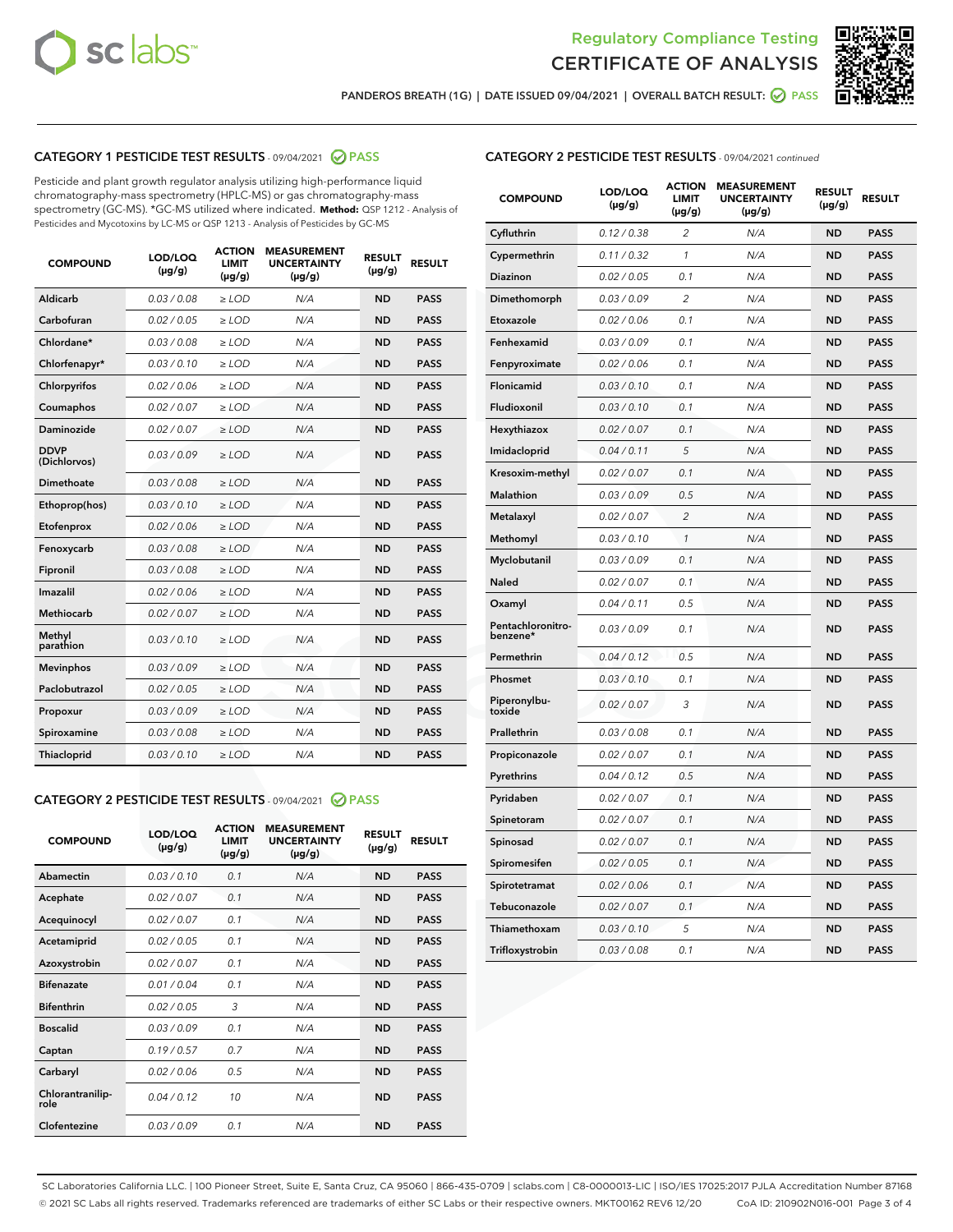



PANDEROS BREATH (1G) | DATE ISSUED 09/04/2021 | OVERALL BATCH RESULT: @ PASS

#### CATEGORY 1 PESTICIDE TEST RESULTS - 09/04/2021 2 PASS

Pesticide and plant growth regulator analysis utilizing high-performance liquid chromatography-mass spectrometry (HPLC-MS) or gas chromatography-mass spectrometry (GC-MS). \*GC-MS utilized where indicated. **Method:** QSP 1212 - Analysis of Pesticides and Mycotoxins by LC-MS or QSP 1213 - Analysis of Pesticides by GC-MS

| <b>COMPOUND</b>             | LOD/LOQ<br>$(\mu g/g)$ | <b>ACTION</b><br>LIMIT<br>$(\mu g/g)$ | <b>MEASUREMENT</b><br><b>UNCERTAINTY</b><br>$(\mu g/g)$ | <b>RESULT</b><br>$(\mu g/g)$ | <b>RESULT</b> |
|-----------------------------|------------------------|---------------------------------------|---------------------------------------------------------|------------------------------|---------------|
| <b>Aldicarb</b>             | 0.03/0.08              | $\ge$ LOD                             | N/A                                                     | <b>ND</b>                    | <b>PASS</b>   |
| Carbofuran                  | 0.02 / 0.05            | $>$ LOD                               | N/A                                                     | <b>ND</b>                    | <b>PASS</b>   |
| Chlordane*                  | 0.03 / 0.08            | $\ge$ LOD                             | N/A                                                     | <b>ND</b>                    | <b>PASS</b>   |
| Chlorfenapyr*               | 0.03/0.10              | $\ge$ LOD                             | N/A                                                     | <b>ND</b>                    | <b>PASS</b>   |
| Chlorpyrifos                | 0.02 / 0.06            | $\ge$ LOD                             | N/A                                                     | <b>ND</b>                    | <b>PASS</b>   |
| Coumaphos                   | 0.02 / 0.07            | $\ge$ LOD                             | N/A                                                     | <b>ND</b>                    | <b>PASS</b>   |
| Daminozide                  | 0.02/0.07              | $>$ LOD                               | N/A                                                     | <b>ND</b>                    | <b>PASS</b>   |
| <b>DDVP</b><br>(Dichlorvos) | 0.03/0.09              | $\geq$ LOD                            | N/A                                                     | <b>ND</b>                    | <b>PASS</b>   |
| <b>Dimethoate</b>           | 0.03 / 0.08            | $\ge$ LOD                             | N/A                                                     | <b>ND</b>                    | <b>PASS</b>   |
| Ethoprop(hos)               | 0.03/0.10              | $\geq$ LOD                            | N/A                                                     | <b>ND</b>                    | <b>PASS</b>   |
| Etofenprox                  | 0.02/0.06              | $>$ LOD                               | N/A                                                     | <b>ND</b>                    | <b>PASS</b>   |
| Fenoxycarb                  | 0.03 / 0.08            | $\geq$ LOD                            | N/A                                                     | <b>ND</b>                    | <b>PASS</b>   |
| Fipronil                    | 0.03/0.08              | $\ge$ LOD                             | N/A                                                     | <b>ND</b>                    | <b>PASS</b>   |
| Imazalil                    | 0.02 / 0.06            | $\ge$ LOD                             | N/A                                                     | <b>ND</b>                    | <b>PASS</b>   |
| Methiocarb                  | 0.02 / 0.07            | $\ge$ LOD                             | N/A                                                     | <b>ND</b>                    | <b>PASS</b>   |
| Methyl<br>parathion         | 0.03/0.10              | $\ge$ LOD                             | N/A                                                     | <b>ND</b>                    | <b>PASS</b>   |
| <b>Mevinphos</b>            | 0.03/0.09              | $>$ LOD                               | N/A                                                     | <b>ND</b>                    | <b>PASS</b>   |
| Paclobutrazol               | 0.02 / 0.05            | $\ge$ LOD                             | N/A                                                     | <b>ND</b>                    | <b>PASS</b>   |
| Propoxur                    | 0.03/0.09              | $\ge$ LOD                             | N/A                                                     | <b>ND</b>                    | <b>PASS</b>   |
| Spiroxamine                 | 0.03 / 0.08            | $\ge$ LOD                             | N/A                                                     | <b>ND</b>                    | <b>PASS</b>   |
| Thiacloprid                 | 0.03/0.10              | $\geq$ LOD                            | N/A                                                     | <b>ND</b>                    | <b>PASS</b>   |
|                             |                        |                                       |                                                         |                              |               |

#### CATEGORY 2 PESTICIDE TEST RESULTS - 09/04/2021 @ PASS

| <b>COMPOUND</b>          | LOD/LOO<br>$(\mu g/g)$ | <b>ACTION</b><br>LIMIT<br>$(\mu g/g)$ | <b>MEASUREMENT</b><br><b>UNCERTAINTY</b><br>$(\mu g/g)$ | <b>RESULT</b><br>$(\mu g/g)$ | <b>RESULT</b> |
|--------------------------|------------------------|---------------------------------------|---------------------------------------------------------|------------------------------|---------------|
| Abamectin                | 0.03/0.10              | 0.1                                   | N/A                                                     | <b>ND</b>                    | <b>PASS</b>   |
| Acephate                 | 0.02/0.07              | 0.1                                   | N/A                                                     | <b>ND</b>                    | <b>PASS</b>   |
| Acequinocyl              | 0.02/0.07              | 0.1                                   | N/A                                                     | <b>ND</b>                    | <b>PASS</b>   |
| Acetamiprid              | 0.02/0.05              | 0.1                                   | N/A                                                     | <b>ND</b>                    | <b>PASS</b>   |
| Azoxystrobin             | 0.02/0.07              | 0.1                                   | N/A                                                     | <b>ND</b>                    | <b>PASS</b>   |
| <b>Bifenazate</b>        | 0.01/0.04              | 0.1                                   | N/A                                                     | <b>ND</b>                    | <b>PASS</b>   |
| <b>Bifenthrin</b>        | 0.02 / 0.05            | 3                                     | N/A                                                     | <b>ND</b>                    | <b>PASS</b>   |
| <b>Boscalid</b>          | 0.03/0.09              | 0.1                                   | N/A                                                     | <b>ND</b>                    | <b>PASS</b>   |
| Captan                   | 0.19/0.57              | 0.7                                   | N/A                                                     | <b>ND</b>                    | <b>PASS</b>   |
| Carbaryl                 | 0.02/0.06              | 0.5                                   | N/A                                                     | <b>ND</b>                    | <b>PASS</b>   |
| Chlorantranilip-<br>role | 0.04/0.12              | 10                                    | N/A                                                     | <b>ND</b>                    | <b>PASS</b>   |
| Clofentezine             | 0.03/0.09              | 0.1                                   | N/A                                                     | <b>ND</b>                    | <b>PASS</b>   |

| <b>CATEGORY 2 PESTICIDE TEST RESULTS</b> - 09/04/2021 continued |  |  |
|-----------------------------------------------------------------|--|--|
|                                                                 |  |  |

| <b>COMPOUND</b>               | LOD/LOQ<br>(µg/g) | <b>ACTION</b><br>LIMIT<br>(µg/g) | <b>MEASUREMENT</b><br><b>UNCERTAINTY</b><br>(µg/g) | <b>RESULT</b><br>(µg/g) | <b>RESULT</b> |
|-------------------------------|-------------------|----------------------------------|----------------------------------------------------|-------------------------|---------------|
| Cyfluthrin                    | 0.12 / 0.38       | $\overline{c}$                   | N/A                                                | <b>ND</b>               | <b>PASS</b>   |
| Cypermethrin                  | 0.11/0.32         | 1                                | N/A                                                | <b>ND</b>               | <b>PASS</b>   |
| <b>Diazinon</b>               | 0.02 / 0.05       | 0.1                              | N/A                                                | <b>ND</b>               | <b>PASS</b>   |
| Dimethomorph                  | 0.03 / 0.09       | 2                                | N/A                                                | <b>ND</b>               | <b>PASS</b>   |
| Etoxazole                     | 0.02 / 0.06       | 0.1                              | N/A                                                | <b>ND</b>               | <b>PASS</b>   |
| Fenhexamid                    | 0.03 / 0.09       | 0.1                              | N/A                                                | <b>ND</b>               | <b>PASS</b>   |
| Fenpyroximate                 | 0.02 / 0.06       | 0.1                              | N/A                                                | <b>ND</b>               | <b>PASS</b>   |
| Flonicamid                    | 0.03 / 0.10       | 0.1                              | N/A                                                | <b>ND</b>               | <b>PASS</b>   |
| Fludioxonil                   | 0.03/0.10         | 0.1                              | N/A                                                | <b>ND</b>               | <b>PASS</b>   |
| Hexythiazox                   | 0.02 / 0.07       | 0.1                              | N/A                                                | <b>ND</b>               | <b>PASS</b>   |
| Imidacloprid                  | 0.04 / 0.11       | 5                                | N/A                                                | <b>ND</b>               | <b>PASS</b>   |
| Kresoxim-methyl               | 0.02 / 0.07       | 0.1                              | N/A                                                | <b>ND</b>               | <b>PASS</b>   |
| Malathion                     | 0.03 / 0.09       | 0.5                              | N/A                                                | <b>ND</b>               | <b>PASS</b>   |
| Metalaxyl                     | 0.02 / 0.07       | $\overline{c}$                   | N/A                                                | <b>ND</b>               | <b>PASS</b>   |
| Methomyl                      | 0.03 / 0.10       | 1                                | N/A                                                | <b>ND</b>               | <b>PASS</b>   |
| Myclobutanil                  | 0.03/0.09         | 0.1                              | N/A                                                | <b>ND</b>               | <b>PASS</b>   |
| Naled                         | 0.02 / 0.07       | 0.1                              | N/A                                                | <b>ND</b>               | <b>PASS</b>   |
| Oxamyl                        | 0.04 / 0.11       | 0.5                              | N/A                                                | <b>ND</b>               | <b>PASS</b>   |
| Pentachloronitro-<br>benzene* | 0.03/0.09         | 0.1                              | N/A                                                | <b>ND</b>               | <b>PASS</b>   |
| Permethrin                    | 0.04 / 0.12       | 0.5                              | N/A                                                | <b>ND</b>               | <b>PASS</b>   |
| Phosmet                       | 0.03 / 0.10       | 0.1                              | N/A                                                | <b>ND</b>               | <b>PASS</b>   |
| Piperonylbu-<br>toxide        | 0.02 / 0.07       | 3                                | N/A                                                | <b>ND</b>               | <b>PASS</b>   |
| Prallethrin                   | 0.03 / 0.08       | 0.1                              | N/A                                                | <b>ND</b>               | <b>PASS</b>   |
| Propiconazole                 | 0.02 / 0.07       | 0.1                              | N/A                                                | <b>ND</b>               | <b>PASS</b>   |
| Pyrethrins                    | 0.04 / 0.12       | 0.5                              | N/A                                                | <b>ND</b>               | <b>PASS</b>   |
| Pyridaben                     | 0.02 / 0.07       | 0.1                              | N/A                                                | <b>ND</b>               | <b>PASS</b>   |
| Spinetoram                    | 0.02 / 0.07       | 0.1                              | N/A                                                | <b>ND</b>               | <b>PASS</b>   |
| Spinosad                      | 0.02 / 0.07       | 0.1                              | N/A                                                | <b>ND</b>               | <b>PASS</b>   |
| Spiromesifen                  | 0.02 / 0.05       | 0.1                              | N/A                                                | <b>ND</b>               | <b>PASS</b>   |
| Spirotetramat                 | 0.02 / 0.06       | 0.1                              | N/A                                                | <b>ND</b>               | <b>PASS</b>   |
| Tebuconazole                  | 0.02 / 0.07       | 0.1                              | N/A                                                | <b>ND</b>               | <b>PASS</b>   |
| Thiamethoxam                  | 0.03 / 0.10       | 5                                | N/A                                                | <b>ND</b>               | <b>PASS</b>   |
| Trifloxystrobin               | 0.03 / 0.08       | 0.1                              | N/A                                                | <b>ND</b>               | <b>PASS</b>   |

SC Laboratories California LLC. | 100 Pioneer Street, Suite E, Santa Cruz, CA 95060 | 866-435-0709 | sclabs.com | C8-0000013-LIC | ISO/IES 17025:2017 PJLA Accreditation Number 87168 © 2021 SC Labs all rights reserved. Trademarks referenced are trademarks of either SC Labs or their respective owners. MKT00162 REV6 12/20 CoA ID: 210902N016-001 Page 3 of 4